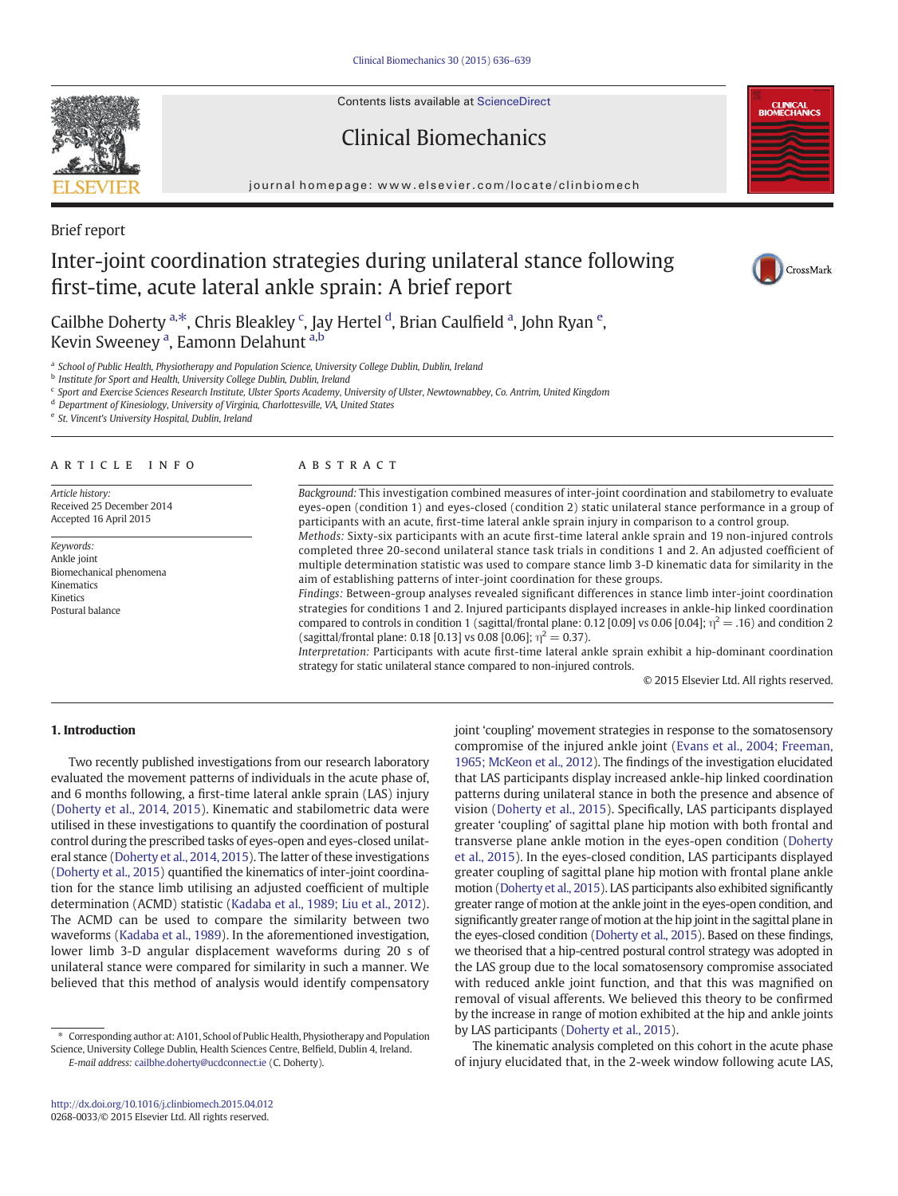Contents lists available at ScienceDirect

# Clinical Biomechanics

journal homepage:<www.elsevier.com/locate/clinbiomech>



# Brief report

# Inter-joint coordination strategies during unilateral stance following first-time, acute lateral ankle sprain: A brief report



Cailbhe Doherty <sup>a,\*</sup>, Chris Bleakley <sup>c</sup>, Jay Hertel <sup>d</sup>, Brian Caulfield <sup>a</sup>, John Ryan <sup>e</sup>, Kevin Sweeney <sup>a</sup>, Eamonn Delahunt <sup>a,b</sup>

a School of Public Health, Physiotherapy and Population Science, University College Dublin, Dublin, Ireland

**b** Institute for Sport and Health, University College Dublin, Dublin, Ireland

<sup>c</sup> Sport and Exercise Sciences Research Institute, Ulster Sports Academy, University of Ulster, Newtownabbey, Co. Antrim, United Kingdom

<sup>d</sup> Department of Kinesiology, University of Virginia, Charlottesville, VA, United States

<sup>e</sup> St. Vincent's University Hospital, Dublin, Ireland

# ARTICLE INFO ABSTRACT

Article history: Received 25 December 2014 Accepted 16 April 2015

Keywords: Ankle joint Biomechanical phenomena Kinematics Kinetics Postural balance

Background: This investigation combined measures of inter-joint coordination and stabilometry to evaluate eyes-open (condition 1) and eyes-closed (condition 2) static unilateral stance performance in a group of participants with an acute, first-time lateral ankle sprain injury in comparison to a control group. Methods: Sixty-six participants with an acute first-time lateral ankle sprain and 19 non-injured controls

completed three 20-second unilateral stance task trials in conditions 1 and 2. An adjusted coefficient of multiple determination statistic was used to compare stance limb 3-D kinematic data for similarity in the aim of establishing patterns of inter-joint coordination for these groups.

Findings: Between-group analyses revealed significant differences in stance limb inter-joint coordination strategies for conditions 1 and 2. Injured participants displayed increases in ankle-hip linked coordination compared to controls in condition 1 (sagittal/frontal plane: 0.12 [0.09] vs 0.06 [0.04];  $\eta^2 = .16$ ) and condition 2 (sagittal/frontal plane: 0.18 [0.13] vs 0.08 [0.06];  $\eta^2 = 0.37$ ).

Interpretation: Participants with acute first-time lateral ankle sprain exhibit a hip-dominant coordination strategy for static unilateral stance compared to non-injured controls.

© 2015 Elsevier Ltd. All rights reserved.

## 1. Introduction

Two recently published investigations from our research laboratory evaluated the movement patterns of individuals in the acute phase of, and 6 months following, a first-time lateral ankle sprain (LAS) injury [\(Doherty et al., 2014, 2015](#page-3-0)). Kinematic and stabilometric data were utilised in these investigations to quantify the coordination of postural control during the prescribed tasks of eyes-open and eyes-closed unilateral stance [\(Doherty et al., 2014, 2015\)](#page-3-0). The latter of these investigations [\(Doherty et al., 2015](#page-3-0)) quantified the kinematics of inter-joint coordination for the stance limb utilising an adjusted coefficient of multiple determination (ACMD) statistic ([Kadaba et al., 1989; Liu et al., 2012](#page-3-0)). The ACMD can be used to compare the similarity between two waveforms [\(Kadaba et al., 1989\)](#page-3-0). In the aforementioned investigation, lower limb 3-D angular displacement waveforms during 20 s of unilateral stance were compared for similarity in such a manner. We believed that this method of analysis would identify compensatory

⁎ Corresponding author at: A101, School of Public Health, Physiotherapy and Population Science, University College Dublin, Health Sciences Centre, Belfield, Dublin 4, Ireland. E-mail address: [cailbhe.doherty@ucdconnect.ie](mailto:cailbhe.doherty@ucdconnect.ie) (C. Doherty).

joint 'coupling' movement strategies in response to the somatosensory compromise of the injured ankle joint ([Evans et al., 2004; Freeman,](#page-3-0) [1965; McKeon et al., 2012](#page-3-0)). The findings of the investigation elucidated that LAS participants display increased ankle-hip linked coordination patterns during unilateral stance in both the presence and absence of vision ([Doherty et al., 2015](#page-3-0)). Specifically, LAS participants displayed greater 'coupling' of sagittal plane hip motion with both frontal and transverse plane ankle motion in the eyes-open condition ([Doherty](#page-3-0) [et al., 2015\)](#page-3-0). In the eyes-closed condition, LAS participants displayed greater coupling of sagittal plane hip motion with frontal plane ankle motion ([Doherty et al., 2015](#page-3-0)). LAS participants also exhibited significantly greater range of motion at the ankle joint in the eyes-open condition, and significantly greater range of motion at the hip joint in the sagittal plane in the eyes-closed condition [\(Doherty et al., 2015\)](#page-3-0). Based on these findings, we theorised that a hip-centred postural control strategy was adopted in the LAS group due to the local somatosensory compromise associated with reduced ankle joint function, and that this was magnified on removal of visual afferents. We believed this theory to be confirmed by the increase in range of motion exhibited at the hip and ankle joints by LAS participants [\(Doherty et al., 2015](#page-3-0)).

The kinematic analysis completed on this cohort in the acute phase of injury elucidated that, in the 2-week window following acute LAS,

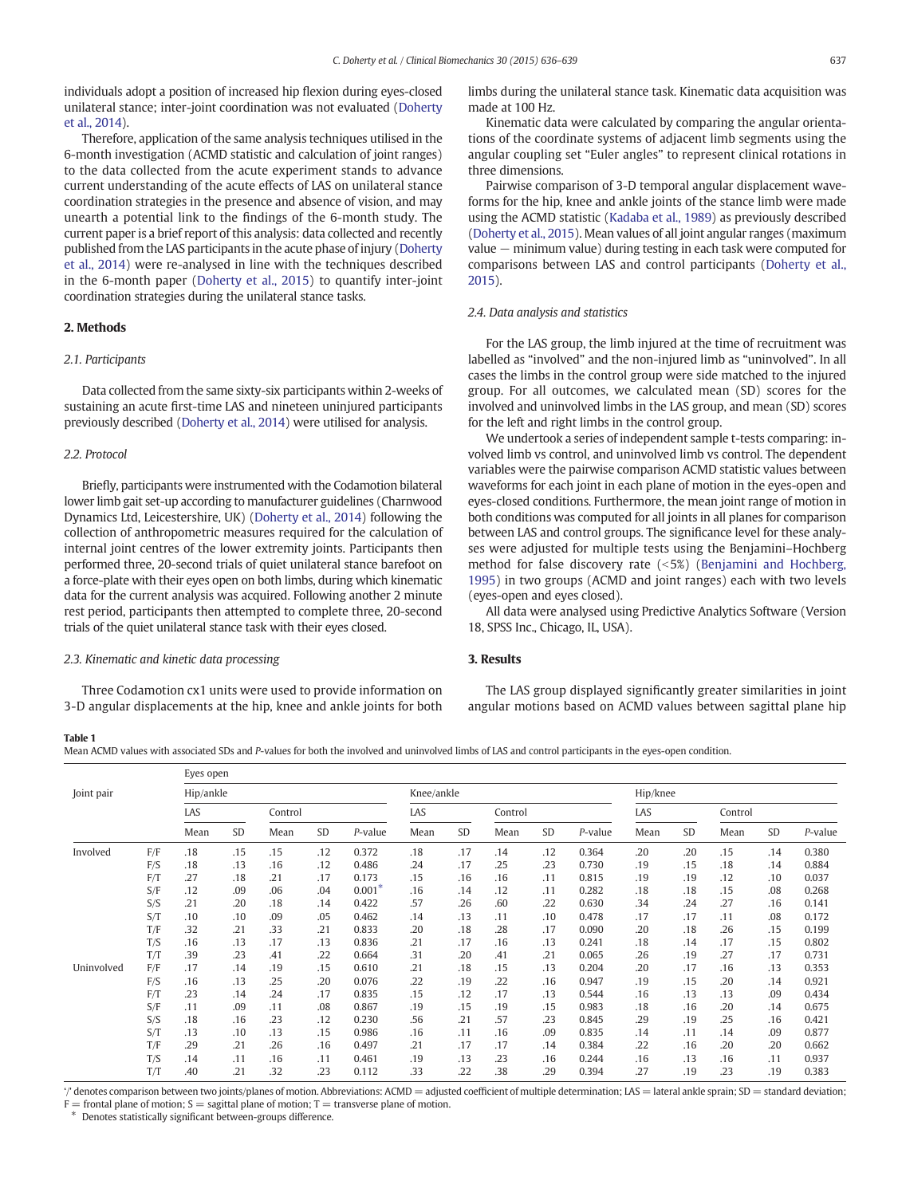<span id="page-1-0"></span>individuals adopt a position of increased hip flexion during eyes-closed unilateral stance; inter-joint coordination was not evaluated [\(Doherty](#page-3-0) [et al., 2014\)](#page-3-0).

Therefore, application of the same analysis techniques utilised in the 6-month investigation (ACMD statistic and calculation of joint ranges) to the data collected from the acute experiment stands to advance current understanding of the acute effects of LAS on unilateral stance coordination strategies in the presence and absence of vision, and may unearth a potential link to the findings of the 6-month study. The current paper is a brief report of this analysis: data collected and recently published from the LAS participants in the acute phase of injury [\(Doherty](#page-3-0) [et al., 2014](#page-3-0)) were re-analysed in line with the techniques described in the 6-month paper ([Doherty et al., 2015](#page-3-0)) to quantify inter-joint coordination strategies during the unilateral stance tasks.

#### 2. Methods

#### 2.1. Participants

Data collected from the same sixty-six participants within 2-weeks of sustaining an acute first-time LAS and nineteen uninjured participants previously described [\(Doherty et al., 2014](#page-3-0)) were utilised for analysis.

#### 2.2. Protocol

Briefly, participants were instrumented with the Codamotion bilateral lower limb gait set-up according to manufacturer guidelines (Charnwood Dynamics Ltd, Leicestershire, UK) ([Doherty et al., 2014\)](#page-3-0) following the collection of anthropometric measures required for the calculation of internal joint centres of the lower extremity joints. Participants then performed three, 20-second trials of quiet unilateral stance barefoot on a force-plate with their eyes open on both limbs, during which kinematic data for the current analysis was acquired. Following another 2 minute rest period, participants then attempted to complete three, 20-second trials of the quiet unilateral stance task with their eyes closed.

## 2.3. Kinematic and kinetic data processing

Three Codamotion cx1 units were used to provide information on 3-D angular displacements at the hip, knee and ankle joints for both limbs during the unilateral stance task. Kinematic data acquisition was made at 100 Hz.

Kinematic data were calculated by comparing the angular orientations of the coordinate systems of adjacent limb segments using the angular coupling set "Euler angles" to represent clinical rotations in three dimensions.

Pairwise comparison of 3-D temporal angular displacement waveforms for the hip, knee and ankle joints of the stance limb were made using the ACMD statistic [\(Kadaba et al., 1989\)](#page-3-0) as previously described [\(Doherty et al., 2015](#page-3-0)). Mean values of all joint angular ranges (maximum value − minimum value) during testing in each task were computed for comparisons between LAS and control participants [\(Doherty et al.,](#page-3-0) [2015](#page-3-0)).

#### 2.4. Data analysis and statistics

For the LAS group, the limb injured at the time of recruitment was labelled as "involved" and the non-injured limb as "uninvolved". In all cases the limbs in the control group were side matched to the injured group. For all outcomes, we calculated mean (SD) scores for the involved and uninvolved limbs in the LAS group, and mean (SD) scores for the left and right limbs in the control group.

We undertook a series of independent sample t-tests comparing: involved limb vs control, and uninvolved limb vs control. The dependent variables were the pairwise comparison ACMD statistic values between waveforms for each joint in each plane of motion in the eyes-open and eyes-closed conditions. Furthermore, the mean joint range of motion in both conditions was computed for all joints in all planes for comparison between LAS and control groups. The significance level for these analyses were adjusted for multiple tests using the Benjamini–Hochberg method for false discovery rate  $(5%)$  [\(Benjamini and Hochberg,](#page-3-0) [1995\)](#page-3-0) in two groups (ACMD and joint ranges) each with two levels (eyes-open and eyes closed).

All data were analysed using Predictive Analytics Software (Version 18, SPSS Inc., Chicago, IL, USA).

#### 3. Results

The LAS group displayed significantly greater similarities in joint angular motions based on ACMD values between sagittal plane hip

#### Table 1

Mean ACMD values with associated SDs and P-values for both the involved and uninvolved limbs of LAS and control participants in the eyes-open condition.

|            |     | Eyes open |     |         |     |            |      |           |         |     |          |      |           |         |     |            |
|------------|-----|-----------|-----|---------|-----|------------|------|-----------|---------|-----|----------|------|-----------|---------|-----|------------|
| Joint pair |     | Hip/ankle |     |         |     |            |      |           |         |     | Hip/knee |      |           |         |     |            |
|            |     | LAS       |     | Control |     |            | LAS  |           | Control |     |          | LAS  |           | Control |     |            |
|            |     | Mean      | SD  | Mean    | SD  | $P$ -value | Mean | <b>SD</b> | Mean    | SD  | P-value  | Mean | <b>SD</b> | Mean    | SD  | $P$ -value |
| Involved   | F/F | .18       | .15 | .15     | .12 | 0.372      | .18  | .17       | .14     | .12 | 0.364    | .20  | .20       | .15     | .14 | 0.380      |
|            | F/S | .18       | .13 | .16     | .12 | 0.486      | .24  | .17       | .25     | .23 | 0.730    | .19  | .15       | .18     | .14 | 0.884      |
|            | F/T | .27       | .18 | .21     | .17 | 0.173      | .15  | .16       | .16     | .11 | 0.815    | .19  | .19       | .12     | .10 | 0.037      |
|            | S/F | .12       | .09 | .06     | .04 | $0.001*$   | .16  | .14       | .12     | .11 | 0.282    | .18  | .18       | .15     | .08 | 0.268      |
|            | S/S | .21       | .20 | .18     | .14 | 0.422      | .57  | .26       | .60     | .22 | 0.630    | .34  | .24       | .27     | .16 | 0.141      |
|            | S/T | .10       | .10 | .09     | .05 | 0.462      | .14  | .13       | .11     | .10 | 0.478    | .17  | .17       | .11     | .08 | 0.172      |
|            | T/F | .32       | .21 | .33     | .21 | 0.833      | .20  | .18       | .28     | .17 | 0.090    | .20  | .18       | .26     | .15 | 0.199      |
|            | T/S | .16       | .13 | .17     | .13 | 0.836      | .21  | .17       | .16     | .13 | 0.241    | .18  | .14       | .17     | .15 | 0.802      |
|            | T/T | .39       | .23 | .41     | .22 | 0.664      | .31  | .20       | .41     | .21 | 0.065    | .26  | .19       | .27     | .17 | 0.731      |
| Uninvolved | F/F | .17       | .14 | .19     | .15 | 0.610      | .21  | .18       | .15     | .13 | 0.204    | .20  | .17       | .16     | .13 | 0.353      |
|            | F/S | .16       | .13 | .25     | .20 | 0.076      | .22  | .19       | .22     | .16 | 0.947    | .19  | .15       | .20     | .14 | 0.921      |
|            | F/T | .23       | .14 | .24     | .17 | 0.835      | .15  | .12       | .17     | .13 | 0.544    | .16  | .13       | .13     | .09 | 0.434      |
|            | S/F | .11       | .09 | .11     | .08 | 0.867      | .19  | .15       | .19     | .15 | 0.983    | .18  | .16       | .20     | .14 | 0.675      |
|            | S/S | .18       | .16 | .23     | .12 | 0.230      | .56  | .21       | .57     | .23 | 0.845    | .29  | .19       | .25     | .16 | 0.421      |
|            | S/T | .13       | .10 | .13     | .15 | 0.986      | .16  | .11       | .16     | .09 | 0.835    | .14  | .11       | .14     | .09 | 0.877      |
|            | T/F | .29       | .21 | .26     | .16 | 0.497      | .21  | .17       | .17     | .14 | 0.384    | .22  | .16       | .20     | .20 | 0.662      |
|            | T/S | .14       | .11 | .16     | .11 | 0.461      | .19  | .13       | .23     | .16 | 0.244    | .16  | .13       | .16     | .11 | 0.937      |
|            | T/T | .40       | .21 | .32     | .23 | 0.112      | .33  | .22       | .38     | .29 | 0.394    | .27  | .19       | .23     | .19 | 0.383      |

'/' denotes comparison between two joints/planes of motion. Abbreviations: ACMD = adjusted coefficient of multiple determination; LAS = lateral ankle sprain; SD = standard deviation;

 $F =$  frontal plane of motion;  $S =$  sagittal plane of motion;  $T =$  transverse plane of motion.

Denotes statistically significant between-groups difference.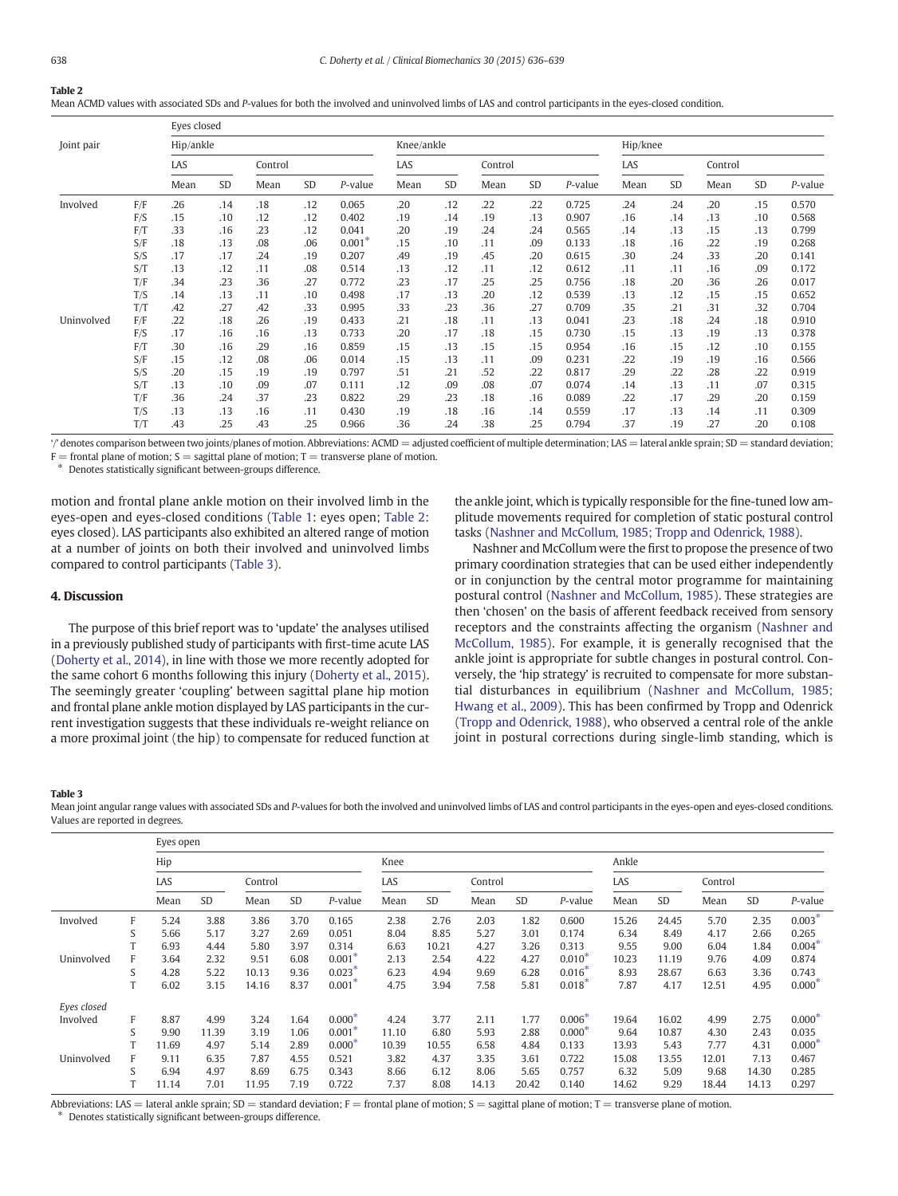#### Table 2

Mean ACMD values with associated SDs and P-values for both the involved and uninvolved limbs of LAS and control participants in the eyes-closed condition.

|            |     | Eyes closed |         |      |     |          |            |           |      |          |         |      |         |      |     |         |
|------------|-----|-------------|---------|------|-----|----------|------------|-----------|------|----------|---------|------|---------|------|-----|---------|
| Joint pair |     | Hip/ankle   |         |      |     |          | Knee/ankle |           |      | Hip/knee |         |      |         |      |     |         |
|            | LAS |             | Control |      |     | LAS      |            | Control   |      |          | LAS     |      | Control |      |     |         |
|            |     | Mean        | SD      | Mean | SD  | P-value  | Mean       | <b>SD</b> | Mean | SD       | P-value | Mean | SD      | Mean | SD  | P-value |
| Involved   | F/F | .26         | .14     | .18  | .12 | 0.065    | .20        | .12       | .22  | .22      | 0.725   | .24  | .24     | .20  | .15 | 0.570   |
|            | F/S | .15         | .10     | .12  | .12 | 0.402    | .19        | .14       | .19  | .13      | 0.907   | .16  | .14     | .13  | .10 | 0.568   |
|            | F/T | .33         | .16     | .23  | .12 | 0.041    | .20        | .19       | .24  | .24      | 0.565   | .14  | .13     | .15  | .13 | 0.799   |
|            | S/F | .18         | .13     | .08  | .06 | $0.001*$ | .15        | .10       | .11  | .09      | 0.133   | .18  | .16     | .22  | .19 | 0.268   |
|            | S/S | .17         | .17     | .24  | .19 | 0.207    | .49        | .19       | .45  | .20      | 0.615   | .30  | .24     | .33  | .20 | 0.141   |
|            | S/T | .13         | .12     | .11  | .08 | 0.514    | .13        | .12       | .11  | .12      | 0.612   | .11  | .11     | .16  | .09 | 0.172   |
|            | T/F | .34         | .23     | .36  | .27 | 0.772    | .23        | .17       | .25  | .25      | 0.756   | .18  | .20     | .36  | .26 | 0.017   |
|            | T/S | .14         | .13     | .11  | .10 | 0.498    | .17        | .13       | .20  | .12      | 0.539   | .13  | .12     | .15  | .15 | 0.652   |
|            | T/T | .42         | .27     | .42  | .33 | 0.995    | .33        | .23       | .36  | .27      | 0.709   | .35  | .21     | .31  | .32 | 0.704   |
| Uninvolved | F/F | .22         | .18     | .26  | .19 | 0.433    | .21        | .18       | .11  | .13      | 0.041   | .23  | .18     | .24  | .18 | 0.910   |
|            | F/S | .17         | .16     | .16  | .13 | 0.733    | .20        | .17       | .18  | .15      | 0.730   | .15  | .13     | .19  | .13 | 0.378   |
|            | F/T | .30         | .16     | .29  | .16 | 0.859    | .15        | .13       | .15  | .15      | 0.954   | .16  | .15     | .12  | .10 | 0.155   |
|            | S/F | .15         | .12     | .08  | .06 | 0.014    | .15        | .13       | .11  | .09      | 0.231   | .22  | .19     | .19  | .16 | 0.566   |
|            | S/S | .20         | .15     | .19  | .19 | 0.797    | .51        | .21       | .52  | .22      | 0.817   | .29  | .22     | .28  | .22 | 0.919   |
|            | S/T | .13         | .10     | .09  | .07 | 0.111    | .12        | .09       | .08  | .07      | 0.074   | .14  | .13     | .11  | .07 | 0.315   |
|            | T/F | .36         | .24     | .37  | .23 | 0.822    | .29        | .23       | .18  | .16      | 0.089   | .22  | .17     | .29  | .20 | 0.159   |
|            | T/S | .13         | .13     | .16  | .11 | 0.430    | .19        | .18       | .16  | .14      | 0.559   | .17  | .13     | .14  | .11 | 0.309   |
|            | T/T | .43         | .25     | .43  | .25 | 0.966    | .36        | .24       | .38  | .25      | 0.794   | .37  | .19     | .27  | .20 | 0.108   |

'/' denotes comparison between two joints/planes of motion. Abbreviations: ACMD = adjusted coefficient of multiple determination; LAS = lateral ankle sprain; SD = standard deviation;

 $F =$  frontal plane of motion;  $S =$  sagittal plane of motion;  $T =$  transverse plane of motion.

⁎ Denotes statistically significant between-groups difference.

motion and frontal plane ankle motion on their involved limb in the eyes-open and eyes-closed conditions ([Table 1](#page-1-0): eyes open; Table 2: eyes closed). LAS participants also exhibited an altered range of motion at a number of joints on both their involved and uninvolved limbs compared to control participants (Table 3).

## 4. Discussion

The purpose of this brief report was to 'update' the analyses utilised in a previously published study of participants with first-time acute LAS [\(Doherty et al., 2014\)](#page-3-0), in line with those we more recently adopted for the same cohort 6 months following this injury [\(Doherty et al., 2015](#page-3-0)). The seemingly greater 'coupling' between sagittal plane hip motion and frontal plane ankle motion displayed by LAS participants in the current investigation suggests that these individuals re-weight reliance on a more proximal joint (the hip) to compensate for reduced function at the ankle joint, which is typically responsible for the fine-tuned low amplitude movements required for completion of static postural control tasks [\(Nashner and McCollum, 1985; Tropp and Odenrick, 1988](#page-3-0)).

Nashner and McCollum were the first to propose the presence of two primary coordination strategies that can be used either independently or in conjunction by the central motor programme for maintaining postural control ([Nashner and McCollum, 1985](#page-3-0)). These strategies are then 'chosen' on the basis of afferent feedback received from sensory receptors and the constraints affecting the organism [\(Nashner and](#page-3-0) [McCollum, 1985\)](#page-3-0). For example, it is generally recognised that the ankle joint is appropriate for subtle changes in postural control. Conversely, the 'hip strategy' is recruited to compensate for more substantial disturbances in equilibrium ([Nashner and McCollum, 1985;](#page-3-0) [Hwang et al., 2009\)](#page-3-0). This has been confirmed by Tropp and Odenrick [\(Tropp and Odenrick, 1988](#page-3-0)), who observed a central role of the ankle joint in postural corrections during single-limb standing, which is

#### Table 3

Mean joint angular range values with associated SDs and P-values for both the involved and uninvolved limbs of LAS and control participants in the eyes-open and eyes-closed conditions. Values are reported in degrees.

|             |    | Eyes open |           |         |           |                      |       |           |         |           |                      |       |           |         |       |                    |
|-------------|----|-----------|-----------|---------|-----------|----------------------|-------|-----------|---------|-----------|----------------------|-------|-----------|---------|-------|--------------------|
|             |    | Hip       |           |         |           |                      | Knee  |           |         |           |                      | Ankle |           |         |       |                    |
|             |    | LAS       |           | Control |           |                      | LAS   |           | Control |           |                      | LAS   |           | Control |       |                    |
|             |    | Mean      | <b>SD</b> | Mean    | <b>SD</b> | P-value              | Mean  | <b>SD</b> | Mean    | <b>SD</b> | P-value              | Mean  | <b>SD</b> | Mean    | SD    | P-value            |
| Involved    | F  | 5.24      | 3.88      | 3.86    | 3.70      | 0.165                | 2.38  | 2.76      | 2.03    | 1.82      | 0.600                | 15.26 | 24.45     | 5.70    | 2.35  | $0.003*$           |
|             | S  | 5.66      | 5.17      | 3.27    | 2.69      | 0.051                | 8.04  | 8.85      | 5.27    | 3.01      | 0.174                | 6.34  | 8.49      | 4.17    | 2.66  | 0.265              |
|             | T  | 6.93      | 4.44      | 5.80    | 3.97      | 0.314                | 6.63  | 10.21     | 4.27    | 3.26      | 0.313                | 9.55  | 9.00      | 6.04    | 1.84  | $0.004*$           |
| Uninvolved  | F  | 3.64      | 2.32      | 9.51    | 6.08      | $0.001*$             | 2.13  | 2.54      | 4.22    | 4.27      | $0.010*$             | 10.23 | 11.19     | 9.76    | 4.09  | 0.874              |
|             | S  | 4.28      | 5.22      | 10.13   | 9.36      | $0.023$ <sup>*</sup> | 6.23  | 4.94      | 9.69    | 6.28      | $0.016*$             | 8.93  | 28.67     | 6.63    | 3.36  | 0.743              |
|             | T. | 6.02      | 3.15      | 14.16   | 8.37      | $0.001*$             | 4.75  | 3.94      | 7.58    | 5.81      | $0.018$ <sup>*</sup> | 7.87  | 4.17      | 12.51   | 4.95  | 0.000 <sup>3</sup> |
| Eyes closed |    |           |           |         |           |                      |       |           |         |           |                      |       |           |         |       |                    |
| Involved    | F  | 8.87      | 4.99      | 3.24    | 1.64      | $0.000*$             | 4.24  | 3.77      | 2.11    | 1.77      | $0.006*$             | 19.64 | 16.02     | 4.99    | 2.75  | $0.000*$           |
|             | S  | 9.90      | 11.39     | 3.19    | 1.06      | $0.001$ <sup>*</sup> | 11.10 | 6.80      | 5.93    | 2.88      | $0.000*$             | 9.64  | 10.87     | 4.30    | 2.43  | 0.035              |
|             | T  | 11.69     | 4.97      | 5.14    | 2.89      | $0.000*$             | 10.39 | 10.55     | 6.58    | 4.84      | 0.133                | 13.93 | 5.43      | 7.77    | 4.31  | $0.000*$           |
| Uninvolved  | F  | 9.11      | 6.35      | 7.87    | 4.55      | 0.521                | 3.82  | 4.37      | 3.35    | 3.61      | 0.722                | 15.08 | 13.55     | 12.01   | 7.13  | 0.467              |
|             | S  | 6.94      | 4.97      | 8.69    | 6.75      | 0.343                | 8.66  | 6.12      | 8.06    | 5.65      | 0.757                | 6.32  | 5.09      | 9.68    | 14.30 | 0.285              |
|             | T  | 11.14     | 7.01      | 11.95   | 7.19      | 0.722                | 7.37  | 8.08      | 14.13   | 20.42     | 0.140                | 14.62 | 9.29      | 18.44   | 14.13 | 0.297              |

Abbreviations: LAS = lateral ankle sprain; SD = standard deviation; F = frontal plane of motion; S = sagittal plane of motion; T = transverse plane of motion. ⁎ Denotes statistically significant between-groups difference.